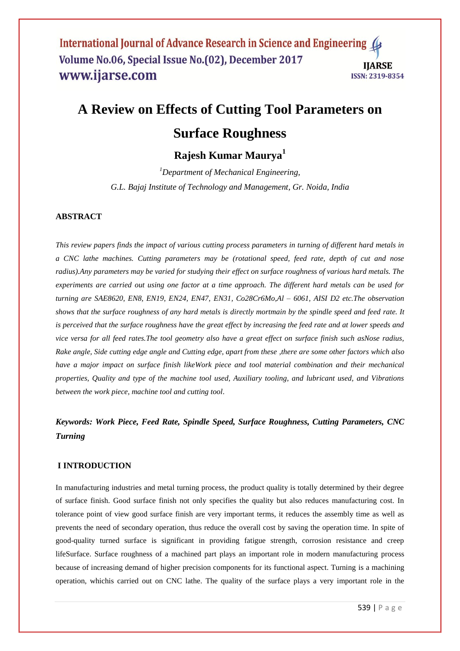# **A Review on Effects of Cutting Tool Parameters on**

## **Surface Roughness**

## **Rajesh Kumar Maurya<sup>1</sup>**

*<sup>1</sup>Department of Mechanical Engineering, G.L. Bajaj Institute of Technology and Management, Gr. Noida, India*

## **ABSTRACT**

*This review papers finds the impact of various cutting process parameters in turning of different hard metals in a CNC lathe machines. Cutting parameters may be (rotational speed, feed rate, depth of cut and nose radius).Any parameters may be varied for studying their effect on surface roughness of various hard metals. The experiments are carried out using one factor at a time approach. The different hard metals can be used for turning are SAE8620, EN8, EN19, EN24, EN47, EN31, Co28Cr6Mo,Al – 6061, AISI D2 etc.The observation shows that the surface roughness of any hard metals is directly mortmain by the spindle speed and feed rate. It is perceived that the surface roughness have the great effect by increasing the feed rate and at lower speeds and vice versa for all feed rates.The tool geometry also have a great effect on surface finish such asNose radius, Rake angle, Side cutting edge angle and Cutting edge, apart from these ,there are some other factors which also have a major impact on surface finish likeWork piece and tool material combination and their mechanical properties, Quality and type of the machine tool used, Auxiliary tooling, and lubricant used, and Vibrations between the work piece, machine tool and cutting tool.*

## *Keywords: Work Piece, Feed Rate, Spindle Speed, Surface Roughness, Cutting Parameters, CNC Turning*

## **I INTRODUCTION**

In manufacturing industries and metal turning process, the product quality is totally determined by their degree of surface finish. Good surface finish not only specifies the quality but also reduces manufacturing cost. In tolerance point of view good surface finish are very important terms, it reduces the assembly time as well as prevents the need of secondary operation, thus reduce the overall cost by saving the operation time. In spite of good-quality turned surface is significant in providing fatigue strength, corrosion resistance and creep lifeSurface. Surface roughness of a machined part plays an important role in modern manufacturing process because of increasing demand of higher precision components for its functional aspect. Turning is a machining operation, whichis carried out on CNC lathe. The quality of the surface plays a very important role in the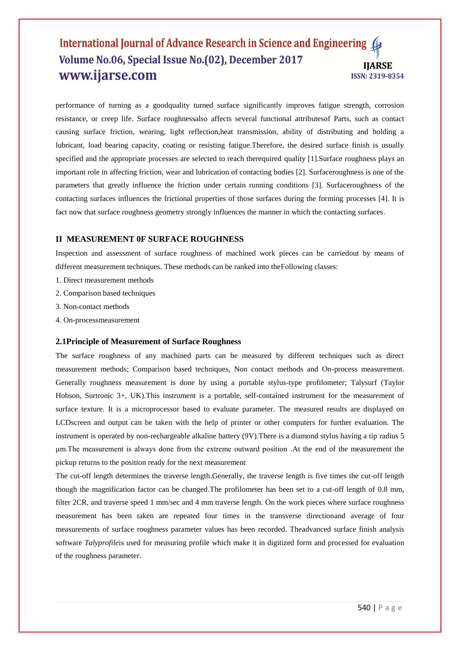performance of turning as a goodquality turned surface significantly improves fatigue strength, corrosion resistance, or creep life. Surface roughnessalso affects several functional attributesof Parts, such as contact causing surface friction, wearing, light reflection,heat transmission, ability of distributing and holding a lubricant, load bearing capacity, coating or resisting fatigue.Therefore, the desired surface finish is usually specified and the appropriate processes are selected to reach therequired quality [1]. Surface roughness plays an important role in affecting friction, wear and lubrication of contacting bodies [2]. Surfaceroughness is one of the parameters that greatly influence the friction under certain running conditions [3]. Surfaceroughness of the contacting surfaces influences the frictional properties of those surfaces during the forming processes [4]. It is fact now that surface roughness geometry strongly influences the manner in which the contacting surfaces.

## **II MEASUREMENT 0F SURFACE ROUGHNESS**

Inspection and assessment of surface roughness of machined work pieces can be carriedout by means of different measurement techniques. These methods can be ranked into theFollowing classes:

- 1. Direct measurement methods
- 2. Comparison based techniques
- 3. Non-contact methods
- 4. On-processmeasurement

#### **2.1Principle of Measurement of Surface Roughness**

The surface roughness of any machined parts can be measured by different techniques such as direct measurement methods; Comparison based techniques, Non contact methods and On-process measurement. Generally roughness measurement is done by using a portable stylus-type profilometer; Talysurf (Taylor Hobson, Surtronic 3+, UK).This instrument is a portable, self-contained instrument for the measurement of surface texture. It is a microprocessor based to evaluate parameter. The measured results are displayed on LCDscreen and output can be taken with the help of printer or other computers for further evaluation. The instrument is operated by non-rechargeable alkaline battery (9V).There is a diamond stylus having a tip radius 5 μm.The measurement is always done from the extreme outward position .At the end of the measurement the pickup returns to the position ready for the next measurement

The cut-off length determines the traverse length.Generally, the traverse length is five times the cut-off length though the magnification factor can be changed.The profilometer has been set to a cut-off length of 0.8 mm, filter 2CR, and traverse speed 1 mm/sec and 4 mm traverse length. On the work pieces where surface roughness measurement has been taken are repeated four times in the transverse directionand average of four measurements of surface roughness parameter values has been recorded. Theadvanced surface finish analysis software *Talyprofile*is used for measuring profile which make it in digitized form and processed for evaluation of the roughness parameter.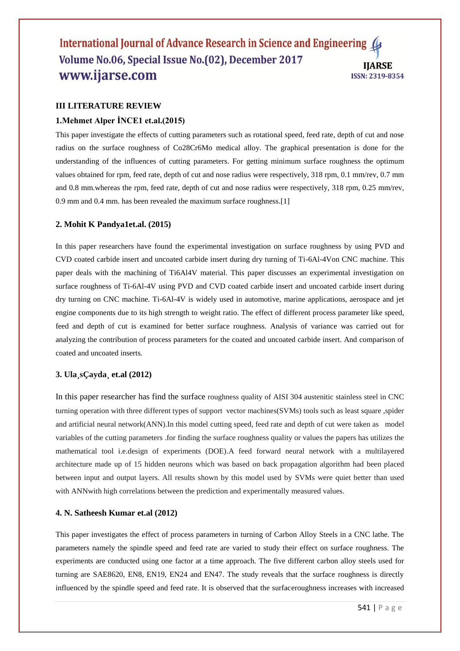## **III LITERATURE REVIEW**

#### **1.Mehmet Alper İNCE1 et.al.(2015)**

This paper investigate the effects of cutting parameters such as rotational speed, feed rate, depth of cut and nose radius on the surface roughness of Co28Cr6Mo medical alloy. The graphical presentation is done for the understanding of the influences of cutting parameters. For getting minimum surface roughness the optimum values obtained for rpm, feed rate, depth of cut and nose radius were respectively, 318 rpm, 0.1 mm/rev, 0.7 mm and 0.8 mm.whereas the rpm, feed rate, depth of cut and nose radius were respectively, 318 rpm, 0.25 mm/rev, 0.9 mm and 0.4 mm. has been revealed the maximum surface roughness.[1]

#### **2. Mohit K Pandya1et.al. (2015)**

In this paper researchers have found the experimental investigation on surface roughness by using PVD and CVD coated carbide insert and uncoated carbide insert during dry turning of Ti-6Al-4Von CNC machine. This paper deals with the machining of Ti6Al4V material. This paper discusses an experimental investigation on surface roughness of Ti-6Al-4V using PVD and CVD coated carbide insert and uncoated carbide insert during dry turning on CNC machine. Ti-6Al-4V is widely used in automotive, marine applications, aerospace and jet engine components due to its high strength to weight ratio. The effect of different process parameter like speed, feed and depth of cut is examined for better surface roughness. Analysis of variance was carried out for analyzing the contribution of process parameters for the coated and uncoated carbide insert. And comparison of coated and uncoated inserts.

#### **3. Ula¸sÇayda¸ et.al (2012)**

In this paper researcher has find the surface roughness quality of AISI 304 austenitic stainless steel in CNC turning operation with three different types of support vector machines(SVMs) tools such as least square ,spider and artificial neural network(ANN).In this model cutting speed, feed rate and depth of cut were taken as model variables of the cutting parameters .for finding the surface roughness quality or values the papers has utilizes the mathematical tool i.e.design of experiments (DOE).A feed forward neural network with a multilayered architecture made up of 15 hidden neurons which was based on back propagation algorithm had been placed between input and output layers. All results shown by this model used by SVMs were quiet better than used with ANNwith high correlations between the prediction and experimentally measured values.

## **4. N. Satheesh Kumar et.al (2012)**

This paper investigates the effect of process parameters in turning of Carbon Alloy Steels in a CNC lathe. The parameters namely the spindle speed and feed rate are varied to study their effect on surface roughness. The experiments are conducted using one factor at a time approach. The five different carbon alloy steels used for turning are SAE8620, EN8, EN19, EN24 and EN47. The study reveals that the surface roughness is directly influenced by the spindle speed and feed rate. It is observed that the surfaceroughness increases with increased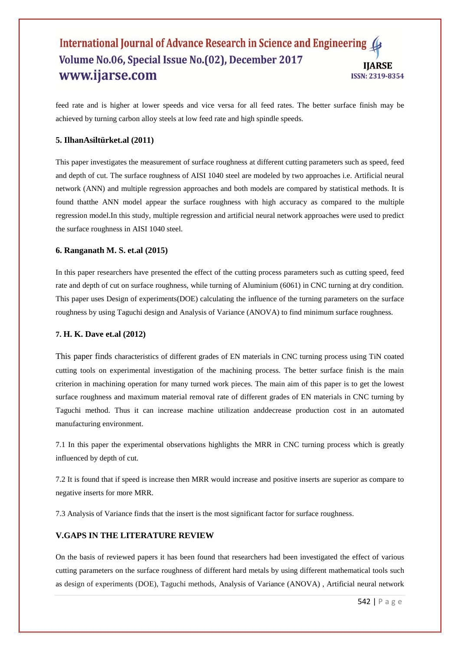feed rate and is higher at lower speeds and vice versa for all feed rates. The better surface finish may be achieved by turning carbon alloy steels at low feed rate and high spindle speeds.

#### **5. IlhanAsiltürket.al (2011)**

This paper investigates the measurement of surface roughness at different cutting parameters such as speed, feed and depth of cut. The surface roughness of AISI 1040 steel are modeled by two approaches i.e. Artificial neural network (ANN) and multiple regression approaches and both models are compared by statistical methods. It is found thatthe ANN model appear the surface roughness with high accuracy as compared to the multiple regression model.In this study, multiple regression and artificial neural network approaches were used to predict the surface roughness in AISI 1040 steel.

#### **6. Ranganath M. S. et.al (2015)**

In this paper researchers have presented the effect of the cutting process parameters such as cutting speed, feed rate and depth of cut on surface roughness, while turning of Aluminium (6061) in CNC turning at dry condition. This paper uses Design of experiments(DOE) calculating the influence of the turning parameters on the surface roughness by using Taguchi design and Analysis of Variance (ANOVA) to find minimum surface roughness.

#### **7. H. K. Dave et.al (2012)**

This paper finds characteristics of different grades of EN materials in CNC turning process using TiN coated cutting tools on experimental investigation of the machining process. The better surface finish is the main criterion in machining operation for many turned work pieces. The main aim of this paper is to get the lowest surface roughness and maximum material removal rate of different grades of EN materials in CNC turning by Taguchi method. Thus it can increase machine utilization anddecrease production cost in an automated manufacturing environment.

7.1 In this paper the experimental observations highlights the MRR in CNC turning process which is greatly influenced by depth of cut.

7.2 It is found that if speed is increase then MRR would increase and positive inserts are superior as compare to negative inserts for more MRR.

7.3 Analysis of Variance finds that the insert is the most significant factor for surface roughness.

## **V.GAPS IN THE LITERATURE REVIEW**

On the basis of reviewed papers it has been found that researchers had been investigated the effect of various cutting parameters on the surface roughness of different hard metals by using different mathematical tools such as design of experiments (DOE), Taguchi methods, Analysis of Variance (ANOVA) , Artificial neural network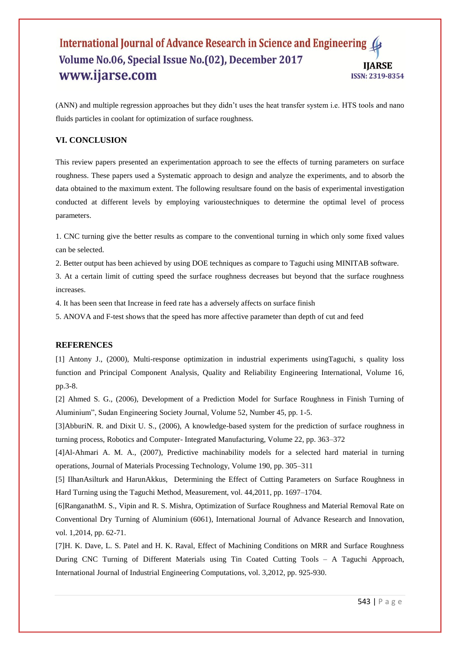(ANN) and multiple regression approaches but they didn't uses the heat transfer system i.e. HTS tools and nano fluids particles in coolant for optimization of surface roughness.

## **VI. CONCLUSION**

This review papers presented an experimentation approach to see the effects of turning parameters on surface roughness. These papers used a Systematic approach to design and analyze the experiments, and to absorb the data obtained to the maximum extent. The following resultsare found on the basis of experimental investigation conducted at different levels by employing varioustechniques to determine the optimal level of process parameters.

1. CNC turning give the better results as compare to the conventional turning in which only some fixed values can be selected.

2. Better output has been achieved by using DOE techniques as compare to Taguchi using MINITAB software.

3. At a certain limit of cutting speed the surface roughness decreases but beyond that the surface roughness increases.

4. It has been seen that Increase in feed rate has a adversely affects on surface finish

5. ANOVA and F-test shows that the speed has more affective parameter than depth of cut and feed

#### **REFERENCES**

[1] Antony J., (2000), Multi-response optimization in industrial experiments usingTaguchi, s quality loss function and Principal Component Analysis, Quality and Reliability Engineering International, Volume 16, pp.3-8.

[2] Ahmed S. G., (2006), Development of a Prediction Model for Surface Roughness in Finish Turning of Aluminium", Sudan Engineering Society Journal, Volume 52, Number 45, pp. 1-5.

[3]AbburiN. R. and Dixit U. S., (2006), A knowledge-based system for the prediction of surface roughness in turning process, Robotics and Computer- Integrated Manufacturing, Volume 22, pp. 363–372

[4]Al-Ahmari A. M. A., (2007), Predictive machinability models for a selected hard material in turning operations, Journal of Materials Processing Technology, Volume 190, pp. 305–311

[5] IlhanAsilturk and HarunAkkus, Determining the Effect of Cutting Parameters on Surface Roughness in Hard Turning using the Taguchi Method, Measurement, vol. 44,2011, pp. 1697–1704.

[6]RanganathM. S., Vipin and R. S. Mishra, Optimization of Surface Roughness and Material Removal Rate on Conventional Dry Turning of Aluminium (6061), International Journal of Advance Research and Innovation, vol. 1,2014, pp. 62-71.

[7]H. K. Dave, L. S. Patel and H. K. Raval, Effect of Machining Conditions on MRR and Surface Roughness During CNC Turning of Different Materials using Tin Coated Cutting Tools – A Taguchi Approach, International Journal of Industrial Engineering Computations, vol. 3,2012, pp. 925-930.